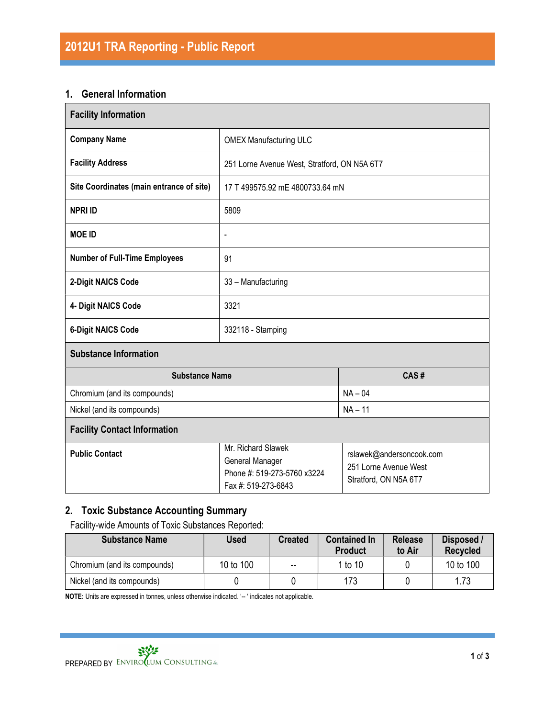#### 1. General Information

| <b>Facility Information</b>              |                                                                                             |                                                                            |  |  |  |
|------------------------------------------|---------------------------------------------------------------------------------------------|----------------------------------------------------------------------------|--|--|--|
| <b>Company Name</b>                      | <b>OMEX Manufacturing ULC</b>                                                               |                                                                            |  |  |  |
| <b>Facility Address</b>                  | 251 Lorne Avenue West, Stratford, ON N5A 6T7                                                |                                                                            |  |  |  |
| Site Coordinates (main entrance of site) | 17 T 499575.92 mE 4800733.64 mN                                                             |                                                                            |  |  |  |
| <b>NPRI ID</b>                           | 5809                                                                                        |                                                                            |  |  |  |
| <b>MOE ID</b>                            | $\overline{\phantom{a}}$                                                                    |                                                                            |  |  |  |
| <b>Number of Full-Time Employees</b>     | 91                                                                                          |                                                                            |  |  |  |
| 2-Digit NAICS Code                       | 33 - Manufacturing                                                                          |                                                                            |  |  |  |
| 4- Digit NAICS Code                      | 3321                                                                                        |                                                                            |  |  |  |
| <b>6-Digit NAICS Code</b>                | 332118 - Stamping                                                                           |                                                                            |  |  |  |
| <b>Substance Information</b>             |                                                                                             |                                                                            |  |  |  |
| <b>Substance Name</b>                    |                                                                                             | CAS#                                                                       |  |  |  |
| Chromium (and its compounds)             | $NA - 04$                                                                                   |                                                                            |  |  |  |
| Nickel (and its compounds)               | $NA - 11$                                                                                   |                                                                            |  |  |  |
| <b>Facility Contact Information</b>      |                                                                                             |                                                                            |  |  |  |
| <b>Public Contact</b>                    | Mr. Richard Slawek<br>General Manager<br>Phone #: 519-273-5760 x3224<br>Fax #: 519-273-6843 | rslawek@andersoncook.com<br>251 Lorne Avenue West<br>Stratford, ON N5A 6T7 |  |  |  |

# 2. Toxic Substance Accounting Summary

Facility-wide Amounts of Toxic Substances Reported:

| <b>Substance Name</b>        | <b>Used</b> | <b>Created</b>           | <b>Contained In</b><br><b>Product</b> | <b>Release</b><br>to Air | Disposed /<br><b>Recycled</b> |
|------------------------------|-------------|--------------------------|---------------------------------------|--------------------------|-------------------------------|
| Chromium (and its compounds) | 10 to 100   | $\overline{\phantom{m}}$ | 1 to 10                               |                          | 10 to 100                     |
| Nickel (and its compounds)   |             |                          | 173                                   |                          | 1.73                          |

NOTE: Units are expressed in tonnes, unless otherwise indicated. '-- ' indicates not applicable.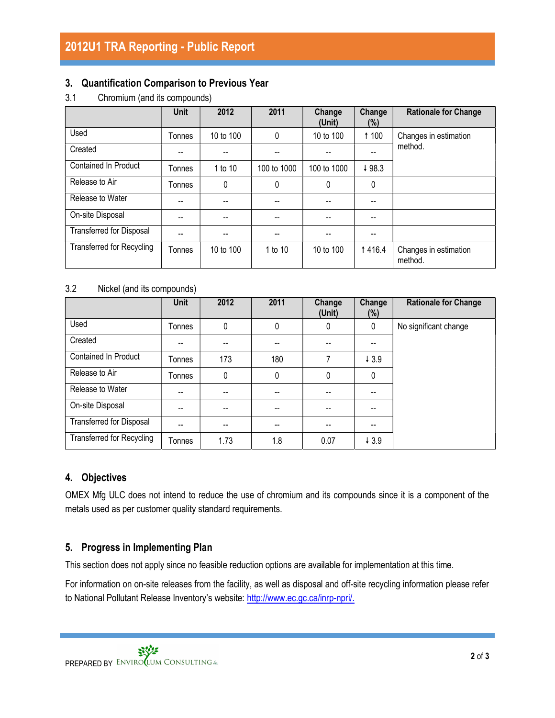### 3. Quantification Comparison to Previous Year

3.1 Chromium (and its compounds)

|                                  | <b>Unit</b> | 2012      | 2011        | Change<br>(Unit) | Change<br>(%) | <b>Rationale for Change</b>      |  |
|----------------------------------|-------------|-----------|-------------|------------------|---------------|----------------------------------|--|
| Used                             | Tonnes      | 10 to 100 | 0           | 10 to 100        | <b>1100</b>   | Changes in estimation            |  |
| Created                          |             |           |             |                  |               | method.                          |  |
| <b>Contained In Product</b>      | Tonnes      | 1 to 10   | 100 to 1000 | 100 to 1000      | ↓98.3         |                                  |  |
| Release to Air                   | Tonnes      | 0         | 0           | $\mathbf{0}$     | 0             |                                  |  |
| Release to Water                 | --          |           | --          |                  | $- -$         |                                  |  |
| On-site Disposal                 | --          |           |             |                  |               |                                  |  |
| <b>Transferred for Disposal</b>  | --          |           |             |                  |               |                                  |  |
| <b>Transferred for Recycling</b> | Tonnes      | 10 to 100 | 1 to 10     | 10 to 100        | <b>1416.4</b> | Changes in estimation<br>method. |  |

#### 3.2 Nickel (and its compounds)

|                                  | <b>Unit</b> | 2012 | 2011 | Change<br>(Unit) | Change<br>(%)    | <b>Rationale for Change</b> |
|----------------------------------|-------------|------|------|------------------|------------------|-----------------------------|
| Used                             | Tonnes      | 0    | 0    | 0                | 0                | No significant change       |
| Created                          | --          |      |      |                  | --               |                             |
| Contained In Product             | Tonnes      | 173  | 180  | 7                | 43.9             |                             |
| Release to Air                   | Tonnes      | 0    | 0    | 0                | 0                |                             |
| Release to Water                 | --          |      | --   |                  |                  |                             |
| On-site Disposal                 | --          | --   | --   |                  |                  |                             |
| Transferred for Disposal         | --          | --   |      |                  | --               |                             |
| <b>Transferred for Recycling</b> | Tonnes      | 1.73 | 1.8  | 0.07             | $\downarrow$ 3.9 |                             |

# 4. Objectives

OMEX Mfg ULC does not intend to reduce the use of chromium and its compounds since it is a component of the metals used as per customer quality standard requirements.

# 5. Progress in Implementing Plan

This section does not apply since no feasible reduction options are available for implementation at this time.

For information on on-site releases from the facility, as well as disposal and off-site recycling information please refer to National Pollutant Release Inventory's website: http://www.ec.gc.ca/inrp-npri/.